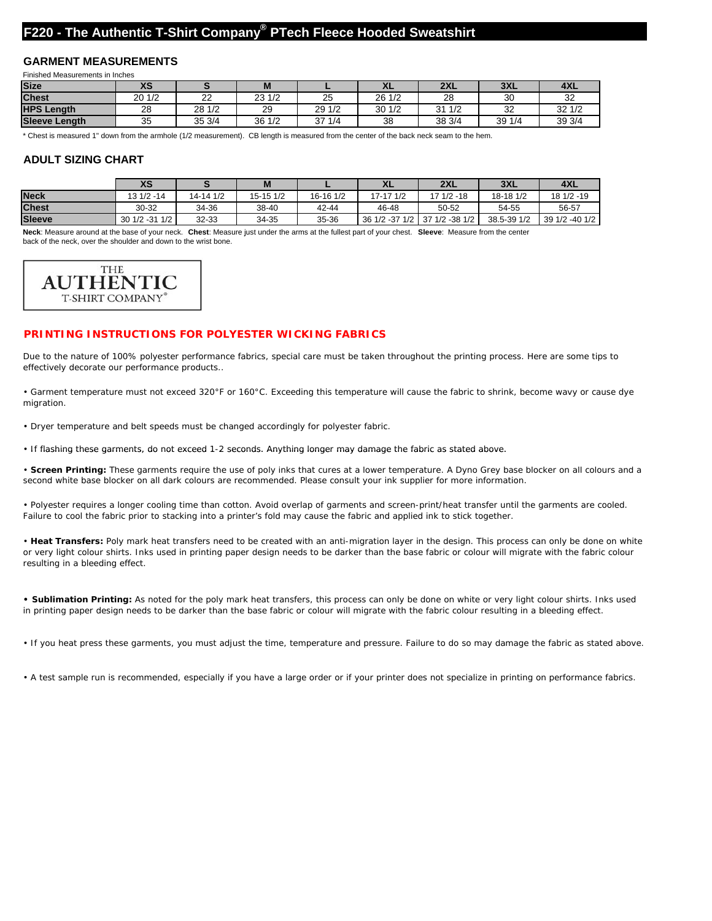## **F220 - The Authentic T-Shirt Company® PTech Fleece Hooded Sweatshirt**

#### **GARMENT MEASUREMENTS**

Finished Measurements in Inches **XS S M L XL 2XL 3XL 4XL Size Chest**

20 1/2 | 22 | 23 1/2 | 25 | 26 1/2 | 28 | 30 | 32 28 28 1/2 29 29 1/2 30 1/2 31 1/2 32 32 1/2 35 35 3/4 36 1/2 37 1/4 38 38 3/4 39 1/4 39 3/4 **HPS Length Sleeve Length**

\* Chest is measured 1" down from the armhole (1/2 measurement). CB length is measured from the center of the back neck seam to the hem.

#### **ADULT SIZING CHART**

|               | XS             |           | M         |           | VI<br>ᄉᄂ       | 2XL            | 3XL         | 4XL            |
|---------------|----------------|-----------|-----------|-----------|----------------|----------------|-------------|----------------|
| <b>Neck</b>   | $131/2 - 14$   | 14-14 1/2 | 15-15 1/2 | 16-16 1/2 | 17-17 1/2      | $171/2 - 18$   | 18-18 1/2   | 18 1/2 -19     |
| <b>Chest</b>  | 30-32          | 34-36     | 38-40     | 42-44     | 46-48          | 50-52          | 54-55       | 56-57          |
| <b>Sleeve</b> | 30 1/2 -31 1/2 | 32-33     | 34-35     | 35-36     | 36 1/2 -37 1/2 | 37 1/2 -38 1/2 | 38.5-39 1/2 | 39 1/2 -40 1/2 |

Neck: Measure around at the base of your neck. Chest: Measure just under the arms at the fullest part of your chest. Sleeve: Measure from the center back of the neck, over the shoulder and down to the wrist bone.



#### **PRINTING INSTRUCTIONS FOR POLYESTER WICKING FABRICS**

Due to the nature of 100% polyester performance fabrics, special care must be taken throughout the printing process. Here are some tips to effectively decorate our performance products..

• Garment temperature must not exceed 320°F or 160°C. Exceeding this temperature will cause the fabric to shrink, become wavy or cause dye migration.

• Dryer temperature and belt speeds must be changed accordingly for polyester fabric.

• If flashing these garments, do not exceed 1-2 seconds. Anything longer may damage the fabric as stated above.

• Screen Printing: These garments require the use of poly inks that cures at a lower temperature. A Dyno Grey base blocker on all colours and a second white base blocker on all dark colours are recommended. Please consult your ink supplier for more information.

• Polyester requires a longer cooling time than cotton. Avoid overlap of garments and screen-print/heat transfer until the garments are cooled. Failure to cool the fabric prior to stacking into a printer's fold may cause the fabric and applied ink to stick together.

• **Heat Transfers:** Poly mark heat transfers need to be created with an anti-migration layer in the design. This process can only be done on white or very light colour shirts. Inks used in printing paper design needs to be darker than the base fabric or colour will migrate with the fabric colour resulting in a bleeding effect.

**• Sublimation Printing:** As noted for the poly mark heat transfers, this process can only be done on white or very light colour shirts. Inks used in printing paper design needs to be darker than the base fabric or colour will migrate with the fabric colour resulting in a bleeding effect.

• If you heat press these garments, you must adjust the time, temperature and pressure. Failure to do so may damage the fabric as stated above.

• A test sample run is recommended, especially if you have a large order or if your printer does not specialize in printing on performance fabrics.